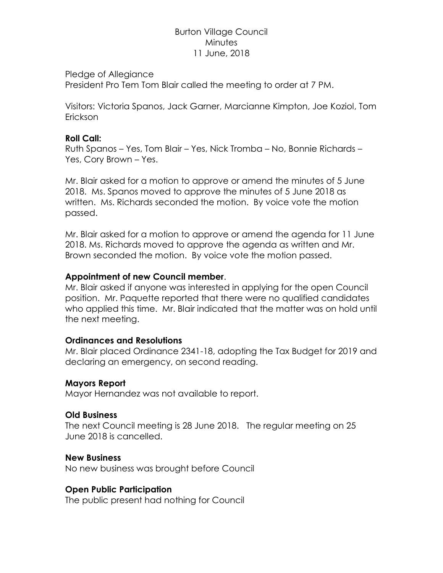# Burton Village Council **Minutes** 11 June, 2018

#### Pledge of Allegiance

President Pro Tem Tom Blair called the meeting to order at 7 PM.

Visitors: Victoria Spanos, Jack Garner, Marcianne Kimpton, Joe Koziol, Tom Erickson

### **Roll Call:**

Ruth Spanos – Yes, Tom Blair – Yes, Nick Tromba – No, Bonnie Richards – Yes, Cory Brown – Yes.

Mr. Blair asked for a motion to approve or amend the minutes of 5 June 2018. Ms. Spanos moved to approve the minutes of 5 June 2018 as written. Ms. Richards seconded the motion. By voice vote the motion passed.

Mr. Blair asked for a motion to approve or amend the agenda for 11 June 2018. Ms. Richards moved to approve the agenda as written and Mr. Brown seconded the motion. By voice vote the motion passed.

### **Appointment of new Council member**.

Mr. Blair asked if anyone was interested in applying for the open Council position. Mr. Paquette reported that there were no qualified candidates who applied this time. Mr. Blair indicated that the matter was on hold until the next meeting.

### **Ordinances and Resolutions**

Mr. Blair placed Ordinance 2341-18, adopting the Tax Budget for 2019 and declaring an emergency, on second reading.

### **Mayors Report**

Mayor Hernandez was not available to report.

### **Old Business**

The next Council meeting is 28 June 2018. The regular meeting on 25 June 2018 is cancelled.

### **New Business**

No new business was brought before Council

## **Open Public Participation**

The public present had nothing for Council